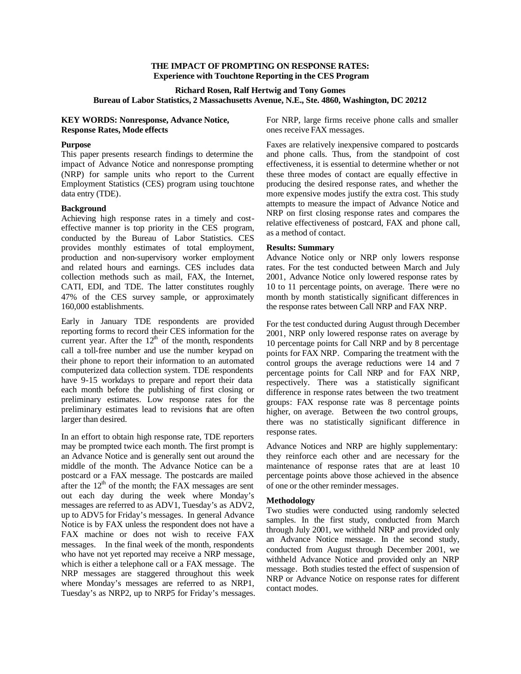## **THE IMPACT OF PROMPTING ON RESPONSE RATES: Experience with Touchtone Reporting in the CES Program**

# **Richard Rosen, Ralf Hertwig and Tony Gomes Bureau of Labor Statistics, 2 Massachusetts Avenue, N.E., Ste. 4860, Washington, DC 20212**

## **KEY WORDS: Nonresponse, Advance Notice, Response Rates, Mode effects**

#### **Purpose**

This paper presents research findings to determine the impact of Advance Notice and nonresponse prompting (NRP) for sample units who report to the Current Employment Statistics (CES) program using touchtone data entry (TDE).

## **Background**

Achieving high response rates in a timely and costeffective manner is top priority in the CES program, conducted by the Bureau of Labor Statistics. CES provides monthly estimates of total employment, production and non-supervisory worker employment and related hours and earnings. CES includes data collection methods such as mail, FAX, the Internet, CATI, EDI, and TDE. The latter constitutes roughly 47% of the CES survey sample, or approximately 160,000 establishments.

Early in January TDE respondents are provided reporting forms to record their CES information for the current year. After the  $12<sup>th</sup>$  of the month, respondents call a toll-free number and use the number keypad on their phone to report their information to an automated computerized data collection system. TDE respondents have 9-15 workdays to prepare and report their data each month before the publishing of first closing or preliminary estimates. Low response rates for the preliminary estimates lead to revisions that are often larger than desired.

In an effort to obtain high response rate, TDE reporters may be prompted twice each month. The first prompt is an Advance Notice and is generally sent out around the middle of the month. The Advance Notice can be a postcard or a FAX message. The postcards are mailed after the  $12<sup>th</sup>$  of the month; the FAX messages are sent out each day during the week where Monday's messages are referred to as ADV1, Tuesday's as ADV2, up to ADV5 for Friday's messages. In general Advance Notice is by FAX unless the respondent does not have a FAX machine or does not wish to receive FAX messages. In the final week of the month, respondents who have not yet reported may receive a NRP message, which is either a telephone call or a FAX message. The NRP messages are staggered throughout this week where Monday's messages are referred to as NRP1, Tuesday's as NRP2, up to NRP5 for Friday's messages. For NRP, large firms receive phone calls and smaller ones receive FAX messages.

Faxes are relatively inexpensive compared to postcards and phone calls. Thus, from the standpoint of cost effectiveness, it is essential to determine whether or not these three modes of contact are equally effective in producing the desired response rates, and whether the more expensive modes justify the extra cost. This study attempts to measure the impact of Advance Notice and NRP on first closing response rates and compares the relative effectiveness of postcard, FAX and phone call, as a method of contact.

## **Results: Summary**

Advance Notice only or NRP only lowers response rates. For the test conducted between March and July 2001, Advance Notice only lowered response rates by 10 to 11 percentage points, on average. There were no month by month statistically significant differences in the response rates between Call NRP and FAX NRP.

For the test conducted during August through December 2001, NRP only lowered response rates on average by 10 percentage points for Call NRP and by 8 percentage points for FAX NRP. Comparing the treatment with the control groups the average reductions were 14 and 7 percentage points for Call NRP and for FAX NRP, respectively. There was a statistically significant difference in response rates between the two treatment groups: FAX response rate was 8 percentage points higher, on average. Between the two control groups, there was no statistically significant difference in response rates.

Advance Notices and NRP are highly supplementary: they reinforce each other and are necessary for the maintenance of response rates that are at least 10 percentage points above those achieved in the absence of one or the other reminder messages.

## **Methodology**

Two studies were conducted using randomly selected samples. In the first study, conducted from March through July 2001, we withheld NRP and provided only an Advance Notice message. In the second study, conducted from August through December 2001, we withheld Advance Notice and provided only an NRP message. Both studies tested the effect of suspension of NRP or Advance Notice on response rates for different contact modes.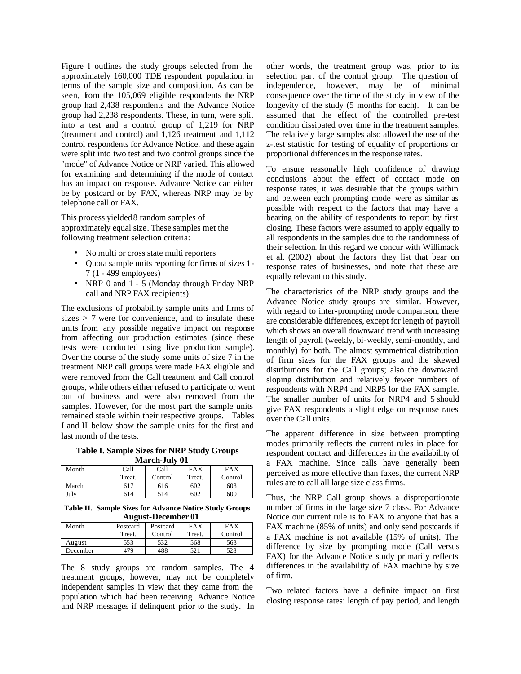Figure I outlines the study groups selected from the approximately 160,000 TDE respondent population, in terms of the sample size and composition. As can be seen, from the 105,069 eligible respondents the NRP group had 2,438 respondents and the Advance Notice group had 2,238 respondents. These, in turn, were split into a test and a control group of 1,219 for NRP (treatment and control) and 1,126 treatment and 1,112 control respondents for Advance Notice, and these again were split into two test and two control groups since the "mode" of Advance Notice or NRP varied. This allowed for examining and determining if the mode of contact has an impact on response. Advance Notice can either be by postcard or by FAX, whereas NRP may be by telephone call or FAX.

This process yielded 8 random samples of approximately equal size. These samples met the following treatment selection criteria:

- No multi or cross state multi reporters
- Quota sample units reporting for firms of sizes 1- 7 (1 - 499 employees)
- NRP 0 and 1 5 (Monday through Friday NRP call and NRP FAX recipients)

The exclusions of probability sample units and firms of sizes  $> 7$  were for convenience, and to insulate these units from any possible negative impact on response from affecting our production estimates (since these tests were conducted using live production sample). Over the course of the study some units of size 7 in the treatment NRP call groups were made FAX eligible and were removed from the Call treatment and Call control groups, while others either refused to participate or went out of business and were also removed from the samples. However, for the most part the sample units remained stable within their respective groups. Tables I and II below show the sample units for the first and last month of the tests.

**Table I. Sample Sizes for NRP Study Groups March-July 01**

| Month | Call   | Call    | <b>FAX</b> | FAX     |  |  |
|-------|--------|---------|------------|---------|--|--|
|       | Treat. | Control | Treat.     | Control |  |  |
| March | 617    | 616     | 602        | 603     |  |  |
| Julv  | 614    | 514     | 602        | 600     |  |  |

**Table II. Sample Sizes for Advance Notice Study Groups August-December 01**

| Month    | Postcard<br>Postcard |         | FAX    | FAX     |  |  |
|----------|----------------------|---------|--------|---------|--|--|
|          | Treat.               | Control | Treat. | Control |  |  |
| August   | 553                  | 532     | 568    | 563     |  |  |
| December | 479                  | 488     | 521    | 528     |  |  |

The 8 study groups are random samples. The 4 treatment groups, however, may not be completely independent samples in view that they came from the population which had been receiving Advance Notice and NRP messages if delinquent prior to the study. In other words, the treatment group was, prior to its selection part of the control group. The question of independence, however, may be of minimal consequence over the time of the study in view of the longevity of the study (5 months for each). It can be assumed that the effect of the controlled pre-test condition dissipated over time in the treatment samples. The relatively large samples also allowed the use of the z-test statistic for testing of equality of proportions or proportional differences in the response rates.

To ensure reasonably high confidence of drawing conclusions about the effect of contact mode on response rates, it was desirable that the groups within and between each prompting mode were as similar as possible with respect to the factors that may have a bearing on the ability of respondents to report by first closing. These factors were assumed to apply equally to all respondents in the samples due to the randomness of their selection. In this regard we concur with Willimack et al. (2002) about the factors they list that bear on response rates of businesses, and note that these are equally relevant to this study.

The characteristics of the NRP study groups and the Advance Notice study groups are similar. However, with regard to inter-prompting mode comparison, there are considerable differences, except for length of payroll which shows an overall downward trend with increasing length of payroll (weekly, bi-weekly, semi-monthly, and monthly) for both. The almost symmetrical distribution of firm sizes for the FAX groups and the skewed distributions for the Call groups; also the downward sloping distribution and relatively fewer numbers of respondents with NRP4 and NRP5 for the FAX sample. The smaller number of units for NRP4 and 5 should give FAX respondents a slight edge on response rates over the Call units.

The apparent difference in size between prompting modes primarily reflects the current rules in place for respondent contact and differences in the availability of a FAX machine. Since calls have generally been perceived as more effective than faxes, the current NRP rules are to call all large size class firms.

Thus, the NRP Call group shows a disproportionate number of firms in the large size 7 class. For Advance Notice our current rule is to FAX to anyone that has a FAX machine (85% of units) and only send postcards if a FAX machine is not available (15% of units). The difference by size by prompting mode (Call versus FAX) for the Advance Notice study primarily reflects differences in the availability of FAX machine by size of firm.

Two related factors have a definite impact on first closing response rates: length of pay period, and length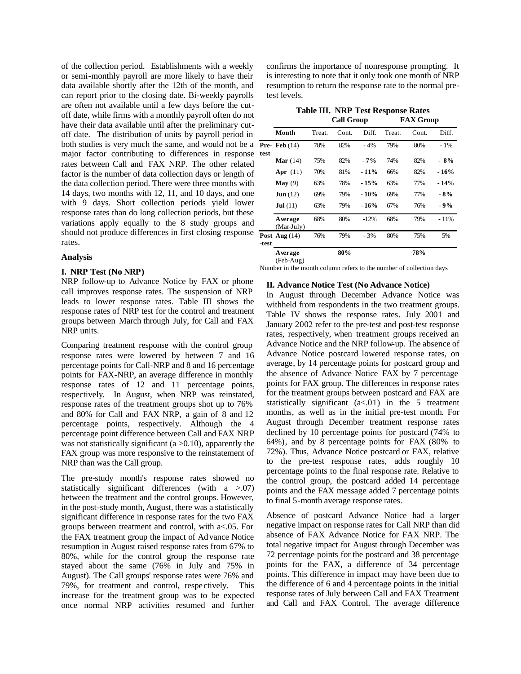of the collection period. Establishments with a weekly or semi-monthly payroll are more likely to have their data available shortly after the 12th of the month, and can report prior to the closing date. Bi-weekly payrolls are often not available until a few days before the cutoff date, while firms with a monthly payroll often do not have their data available until after the preliminary cutoff date. The distribution of units by payroll period in both studies is very much the same, and would not be a major factor contributing to differences in response rates between Call and FAX NRP. The other related factor is the number of data collection days or length of the data collection period. There were three months with 14 days, two months with 12, 11, and 10 days, and one with 9 days. Short collection periods yield lower response rates than do long collection periods, but these variations apply equally to the 8 study groups and should not produce differences in first closing response rates.

#### **Analysis**

#### **I. NRP Test (No NRP)**

NRP follow-up to Advance Notice by FAX or phone call improves response rates. The suspension of NRP leads to lower response rates. Table III shows the response rates of NRP test for the control and treatment groups between March through July, for Call and FAX NRP units.

Comparing treatment response with the control group response rates were lowered by between 7 and 16 percentage points for Call-NRP and 8 and 16 percentage points for FAX-NRP, an average difference in monthly response rates of 12 and 11 percentage points, respectively. In August, when NRP was reinstated, response rates of the treatment groups shot up to 76% and 80% for Call and FAX NRP, a gain of 8 and 12 percentage points, respectively. Although the 4 percentage point difference between Call and FAX NRP was not statistically significant ( $a > 0.10$ ), apparently the FAX group was more responsive to the reinstatement of NRP than was the Call group.

The pre-study month's response rates showed no statistically significant differences (with a >.07) between the treatment and the control groups. However, in the post-study month, August, there was a statistically significant difference in response rates for the two FAX groups between treatment and control, with a<.05. For the FAX treatment group the impact of Advance Notice resumption in August raised response rates from 67% to 80%, while for the control group the response rate stayed about the same (76% in July and 75% in August). The Call groups' response rates were 76% and 79%, for treatment and control, respectively. This increase for the treatment group was to be expected once normal NRP activities resumed and further confirms the importance of nonresponse prompting. It is interesting to note that it only took one month of NRP resumption to return the response rate to the normal pretest levels.

| <b>Table III. NRP Test Response Rates</b> |                  |
|-------------------------------------------|------------------|
| <b>Call Group</b>                         | <b>FAX Group</b> |

|       |                       |        | can oroup |        |        | ***** ***** |        |
|-------|-----------------------|--------|-----------|--------|--------|-------------|--------|
|       | Month                 | Treat. | Cont.     | Diff.  | Treat. | Cont.       | Diff.  |
| test  | Pre-Feb $(14)$        | 78%    | 82%       | $-4%$  | 79%    | 80%         | $-1\%$ |
|       | Mar $(14)$            | 75%    | 82%       | $-7%$  | 74%    | 82%         | $-8%$  |
|       | Apr $(11)$            | 70%    | 81%       | $-11%$ | 66%    | 82%         | $-16%$ |
|       | $\mathbf{Mav}$ (9)    | 63%    | 78%       | $-15%$ | 63%    | 77%         | $-14%$ |
|       | $\text{Jun} (12)$     | 69%    | 79%       | $-10%$ | 69%    | 77%         | - 8%   |
|       | Jul(11)               | 63%    | 79%       | $-16%$ | 67%    | 76%         | $-9%$  |
|       | Average<br>(Mar-July) | 68%    | 80%       | $-12%$ | 68%    | 79%         | $-11%$ |
| -test | Post Aug $(14)$       | 76%    | 79%       | $-3%$  | 80%    | 75%         | 5%     |
|       | Average<br>(Feb-Aug)  |        | 80%       |        |        | 78%         |        |

Number in the month column refers to the number of collection days

#### **II. Advance Notice Test (No Advance Notice)**

In August through December Advance Notice was withheld from respondents in the two treatment groups. Table IV shows the response rates. July 2001 and January 2002 refer to the pre-test and post-test response rates, respectively, when treatment groups received an Advance Notice and the NRP follow-up. The absence of Advance Notice postcard lowered response rates, on average, by 14 percentage points for postcard group and the absence of Advance Notice FAX by 7 percentage points for FAX group. The differences in response rates for the treatment groups between postcard and FAX are statistically significant  $(a<.01)$  in the 5 treatment months, as well as in the initial pre-test month. For August through December treatment response rates declined by 10 percentage points for postcard (74% to 64%), and by 8 percentage points for FAX (80% to 72%). Thus, Advance Notice postcard or FAX, relative to the pre-test response rates, adds roughly 10 percentage points to the final response rate. Relative to the control group, the postcard added 14 percentage points and the FAX message added 7 percentage points to final 5-month average response rates.

Absence of postcard Advance Notice had a larger negative impact on response rates for Call NRP than did absence of FAX Advance Notice for FAX NRP. The total negative impact for August through December was 72 percentage points for the postcard and 38 percentage points for the FAX, a difference of 34 percentage points. This difference in impact may have been due to the difference of 6 and 4 percentage points in the initial response rates of July between Call and FAX Treatment and Call and FAX Control. The average difference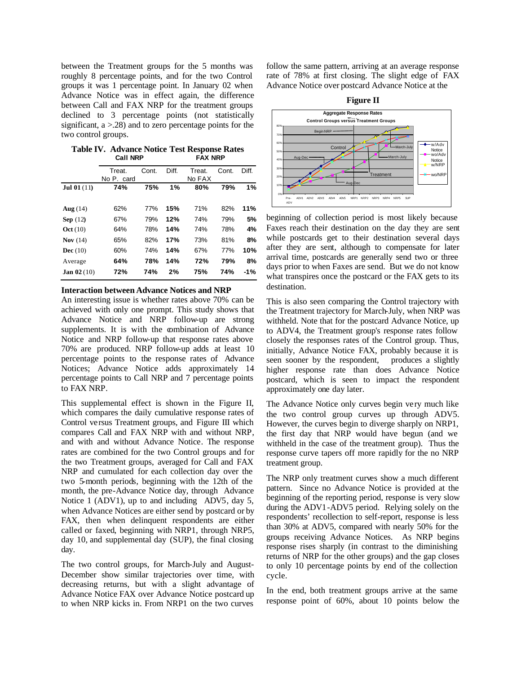between the Treatment groups for the 5 months was roughly 8 percentage points, and for the two Control groups it was 1 percentage point. In January 02 when Advance Notice was in effect again, the difference between Call and FAX NRP for the treatment groups declined to 3 percentage points (not statistically significant, a >.28) and to zero percentage points for the two control groups.

**Table IV. Advance Notice Test Response Rates Call NRP FAX NRP**

|                      | Treat.     | Cont. | Diff. | Treat. | Cont. | Diff. |
|----------------------|------------|-------|-------|--------|-------|-------|
|                      | No P. card |       |       | No FAX |       |       |
| <b>Jul 01</b> $(11)$ | 74%        | 75%   | 1%    | 80%    | 79%   | 1%    |
|                      |            |       |       |        |       |       |
| Aug $(14)$           | 62%        | 77%   | 15%   | 71%    | 82%   | 11%   |
| Sep $(12)$           | 67%        | 79%   | 12%   | 74%    | 79%   | 5%    |
| Oct(10)              | 64%        | 78%   | 14%   | 74%    | 78%   | 4%    |
| Nov $(14)$           | 65%        | 82%   | 17%   | 73%    | 81%   | 8%    |
| Dec $(10)$           | 60%        | 74%   | 14%   | 67%    | 77%   | 10%   |
| Average              | 64%        | 78%   | 14%   | 72%    | 79%   | 8%    |
| <b>Jan 02</b> (10)   | 72%        | 74%   | 2%    | 75%    | 74%   | $-1%$ |

## **Interaction between Advance Notices and NRP**

An interesting issue is whether rates above 70% can be achieved with only one prompt. This study shows that Advance Notice and NRP follow-up are strong supplements. It is with the combination of Advance Notice and NRP follow-up that response rates above 70% are produced. NRP follow-up adds at least 10 percentage points to the response rates of Advance Notices; Advance Notice adds approximately 14 percentage points to Call NRP and 7 percentage points to FAX NRP.

This supplemental effect is shown in the Figure II, which compares the daily cumulative response rates of Control versus Treatment groups, and Figure III which compares Call and FAX NRP with and without NRP, and with and without Advance Notice. The response rates are combined for the two Control groups and for the two Treatment groups, averaged for Call and FAX NRP and cumulated for each collection day over the two 5-month periods, beginning with the 12th of the month, the pre-Advance Notice day, through Advance Notice 1 (ADV1), up to and including ADV5, day 5, when Advance Notices are either send by postcard or by FAX, then when delinquent respondents are either called or faxed, beginning with NRP1, through NRP5, day 10, and supplemental day (SUP), the final closing day.

The two control groups, for March-July and August-December show similar trajectories over time, with decreasing returns, but with a slight advantage of Advance Notice FAX over Advance Notice postcard up to when NRP kicks in. From NRP1 on the two curves

follow the same pattern, arriving at an average response rate of 78% at first closing. The slight edge of FAX Advance Notice over postcard Advance Notice at the



beginning of collection period is most likely because Faxes reach their destination on the day they are sent while postcards get to their destination several days after they are sent, although to compensate for later arrival time, postcards are generally send two or three days prior to when Faxes are send. But we do not know what transpires once the postcard or the FAX gets to its destination.

This is also seen comparing the Control trajectory with the Treatment trajectory for March-July, when NRP was withheld. Note that for the postcard Advance Notice, up to ADV4, the Treatment group's response rates follow closely the responses rates of the Control group. Thus, initially, Advance Notice FAX, probably because it is seen sooner by the respondent, produces a slightly higher response rate than does Advance Notice postcard, which is seen to impact the respondent approximately one day later.

The Advance Notice only curves begin very much like the two control group curves up through ADV5. However, the curves begin to diverge sharply on NRP1, the first day that NRP would have begun (and we withheld in the case of the treatment group). Thus the response curve tapers off more rapidly for the no NRP treatment group.

The NRP only treatment curves show a much different pattern. Since no Advance Notice is provided at the beginning of the reporting period, response is very slow during the ADV1-ADV5 period. Relying solely on the respondents' recollection to self-report, response is less than 30% at ADV5, compared with nearly 50% for the groups receiving Advance Notices. As NRP begins response rises sharply (in contrast to the diminishing returns of NRP for the other groups) and the gap closes to only 10 percentage points by end of the collection cycle.

In the end, both treatment groups arrive at the same response point of 60%, about 10 points below the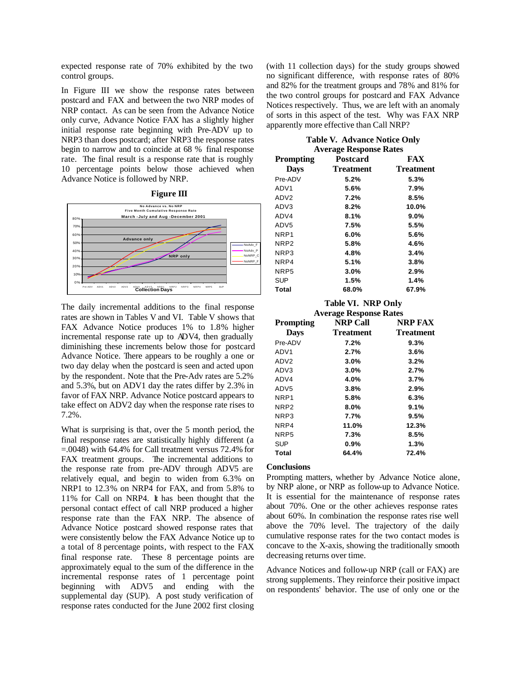expected response rate of 70% exhibited by the two control groups.

In Figure III we show the response rates between postcard and FAX and between the two NRP modes of NRP contact. As can be seen from the Advance Notice only curve, Advance Notice FAX has a slightly higher initial response rate beginning with Pre-ADV up to NRP3 than does postcard; after NRP3 the response rates begin to narrow and to coincide at 68 % final response rate. The final result is a response rate that is roughly 10 percentage points below those achieved when Advance Notice is followed by NRP.





The daily incremental additions to the final response rates are shown in Tables V and VI. Table V shows that FAX Advance Notice produces 1% to 1.8% higher incremental response rate up to ADV4, then gradually diminishing these increments below those for postcard Advance Notice. There appears to be roughly a one or two day delay when the postcard is seen and acted upon by the respondent. Note that the Pre-Adv rates are 5.2% and 5.3%, but on ADV1 day the rates differ by 2.3% in favor of FAX NRP. Advance Notice postcard appears to take effect on ADV2 day when the response rate rises to 7.2%.

What is surprising is that, over the 5 month period, the final response rates are statistically highly different (a =.0048) with 64.4% for Call treatment versus 72.4% for FAX treatment groups. The incremental additions to the response rate from pre-ADV through ADV5 are relatively equal, and begin to widen from 6.3% on NRP1 to 12.3% on NRP4 for FAX, and from 5.8% to 11% for Call on NRP4. It has been thought that the personal contact effect of call NRP produced a higher response rate than the FAX NRP. The absence of Advance Notice postcard showed response rates that were consistently below the FAX Advance Notice up to a total of 8 percentage points, with respect to the FAX final response rate. These 8 percentage points are approximately equal to the sum of the difference in the incremental response rates of 1 percentage point beginning with ADV5 and ending with the supplemental day (SUP). A post study verification of response rates conducted for the June 2002 first closing (with 11 collection days) for the study groups showed no significant difference, with response rates of 80% and 82% for the treatment groups and 78% and 81% for the two control groups for postcard and FAX Advance Notices respectively. Thus, we are left with an anomaly of sorts in this aspect of the test. Why was FAX NRP apparently more effective than Call NRP?

| <b>Table V. Advance Notice Only</b> |  |
|-------------------------------------|--|
| <b>Average Response Rates</b>       |  |

| Prompting        | Postcard         | <b>FAX</b>       |
|------------------|------------------|------------------|
| <b>Days</b>      | <b>Treatment</b> | <b>Treatment</b> |
| Pre-ADV          | 5.2%             | 5.3%             |
| ADV <sub>1</sub> | 5.6%             | 7.9%             |
| ADV <sub>2</sub> | 7.2%             | 8.5%             |
| ADV3             | 8.2%             | 10.0%            |
| ADV4             | 8.1%             | $9.0\%$          |
| ADV <sub>5</sub> | 7.5%             | 5.5%             |
| NRP1             | 6.0%             | 5.6%             |
| NRP <sub>2</sub> | 5.8%             | 4.6%             |
| NRP3             | 4.8%             | 3.4%             |
| NRP4             | 5.1%             | 3.8%             |
| NRP <sub>5</sub> | 3.0%             | 2.9%             |
| <b>SUP</b>       | 1.5%             | 1.4%             |
| Total            | 68.0%            | 67.9%            |

## **Table VI. NRP Only**

| <b>Average Response Rates</b> |                  |                  |  |  |
|-------------------------------|------------------|------------------|--|--|
| <b>Prompting</b>              | <b>NRP Call</b>  | NRP FAX          |  |  |
| <b>Days</b>                   | <b>Treatment</b> | <b>Treatment</b> |  |  |
| Pre-ADV                       | 7.2%             | 9.3%             |  |  |
| ADV <sub>1</sub>              | 2.7%             | 3.6%             |  |  |
| ADV <sub>2</sub>              | 3.0%             | 3.2%             |  |  |
| ADV3                          | 3.0%             | 2.7%             |  |  |
| ADV4                          | 4.0%             | 3.7%             |  |  |
| ADV <sub>5</sub>              | 3.8%             | 2.9%             |  |  |
| NRP1                          | 5.8%             | 6.3%             |  |  |
| NRP <sub>2</sub>              | 8.0%             | 9.1%             |  |  |
| NRP3                          | 7.7%             | 9.5%             |  |  |
| NRP4                          | 11.0%            | 12.3%            |  |  |
| NRP <sub>5</sub>              | 7.3%             | 8.5%             |  |  |
| SUP                           | 0.9%             | 1.3%             |  |  |
| Total                         | 64.4%            | 72.4%            |  |  |

#### **Conclusions**

Prompting matters, whether by Advance Notice alone, by NRP alone, or NRP as follow-up to Advance Notice. It is essential for the maintenance of response rates about 70%. One or the other achieves response rates about 60%. In combination the response rates rise well above the 70% level. The trajectory of the daily cumulative response rates for the two contact modes is concave to the X-axis, showing the traditionally smooth decreasing returns over time.

Advance Notices and follow-up NRP (call or FAX) are strong supplements. They reinforce their positive impact on respondents' behavior. The use of only one or the